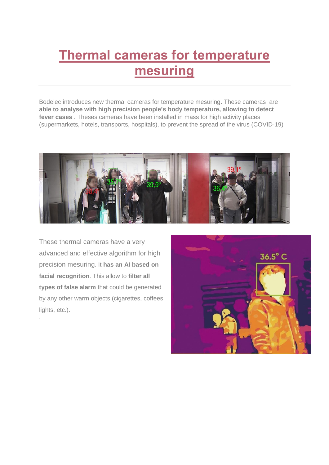## **Thermal cameras for temperature mesuring**

Bodelec introduces new thermal cameras for temperature mesuring. These cameras are **able to analyse with high precision people's body temperature, allowing to detect fever cases** . Theses cameras have been installed in mass for high activity places (supermarkets, hotels, transports, hospitals), to prevent the spread of the virus (COVID-19)



These thermal cameras have a very advanced and effective algorithm for high precision mesuring. It **has an AI based on facial recognition**. This allow to **filter all types of false alarm** that could be generated by any other warm objects (cigarettes, coffees, lights, etc.).

.

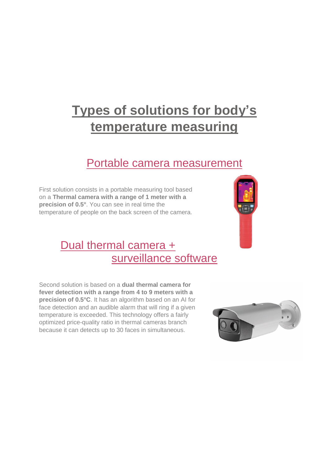# **Types of solutions for body's temperature measuring**

#### Portable camera measurement

First solution consists in a portable measuring tool based on a **Thermal camera with a range of 1 meter with a precision of 0.5°**. You can see in real time the temperature of people on the back screen of the camera.

### Dual thermal camera + surveillance software

Second solution is based on a **dual thermal camera for fever detection with a range from 4 to 9 meters with a precision of 0.5°C**. It has an algorithm based on an AI for face detection and an audible alarm that will ring if a given temperature is exceeded. This technology offers a fairly optimized price-quality ratio in thermal cameras branch because it can detects up to 30 faces in simultaneous.